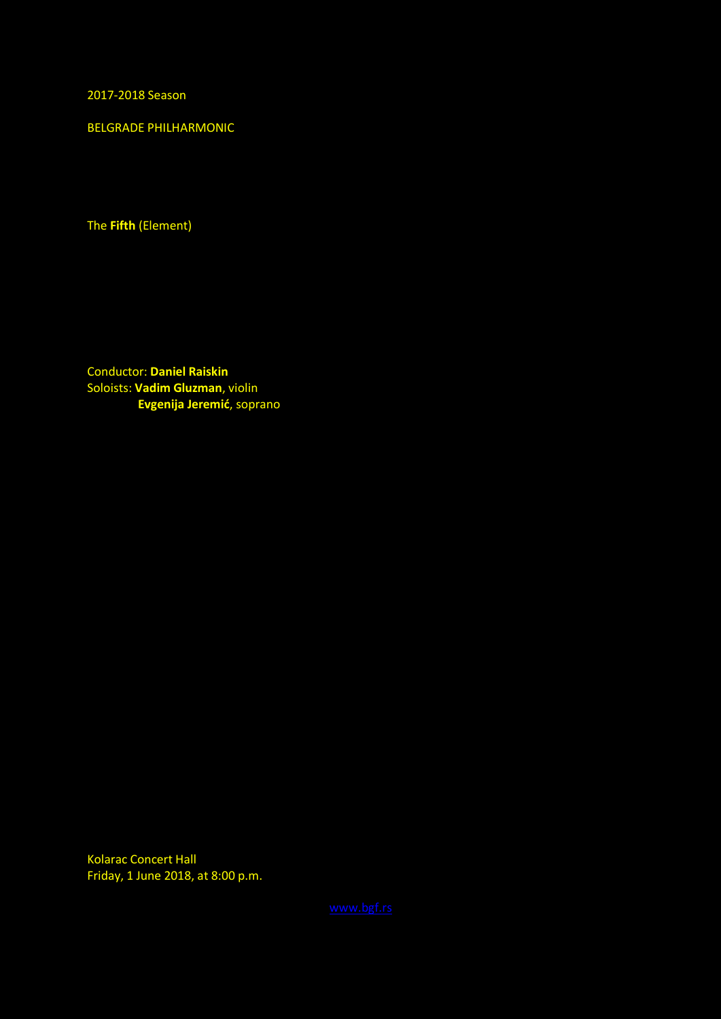2017-2018 Season

BELGRADE PHILHARMONIC

The **Fifth** (Element)

Conductor: **Daniel Raiskin** Soloists: **Vadim Gluzman**, violin  **Evgenija Jeremić**, soprano

Kolarac Concert Hall Friday, 1 June 2018, at 8:00 p.m.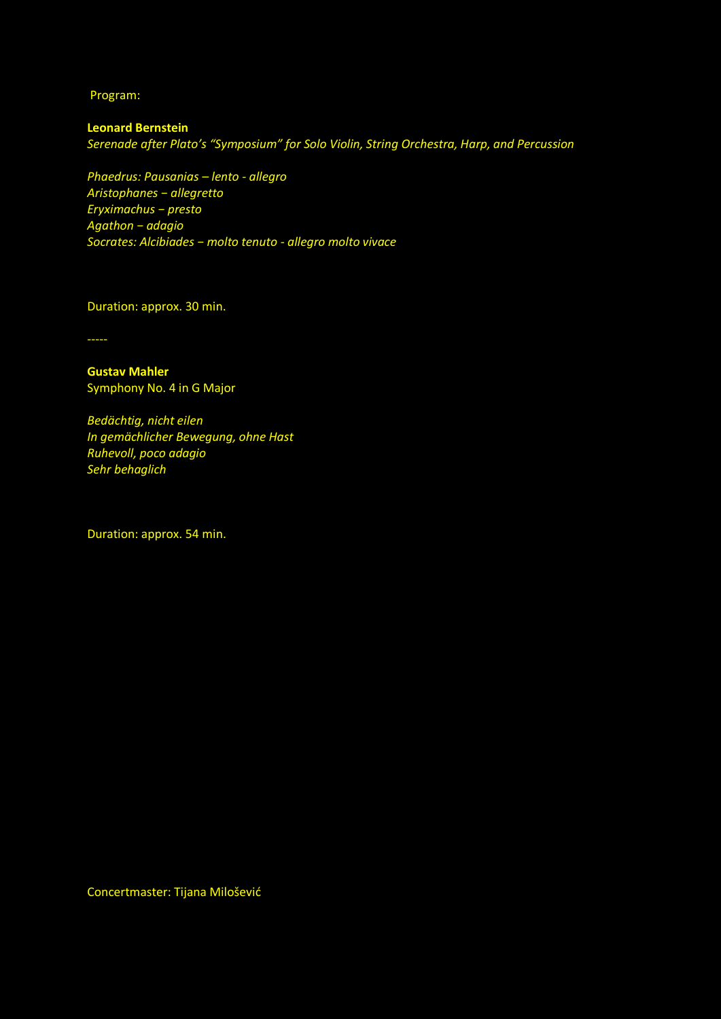Program:

**Leonard Bernstein** *Serenade after Plato's "Symposium" for Solo Violin, String Orchestra, Harp, and Percussion*

*Phaedrus: Pausanias – lento - allegro Aristophanes − allegretto Eryximachus − presto Agathon − adagio Socrates: Alcibiades − molto tenuto - allegro molto vivace*

Duration: approx. 30 min.

-----

**Gustav Mahler** Symphony No. 4 in G Major

*Bedächtig, nicht eilen In gemächlicher Bewegung, ohne Hast Ruhevoll, poco adagio Sehr behaglich*

Duration: approx. 54 min.

Concertmaster: Tijana Milošević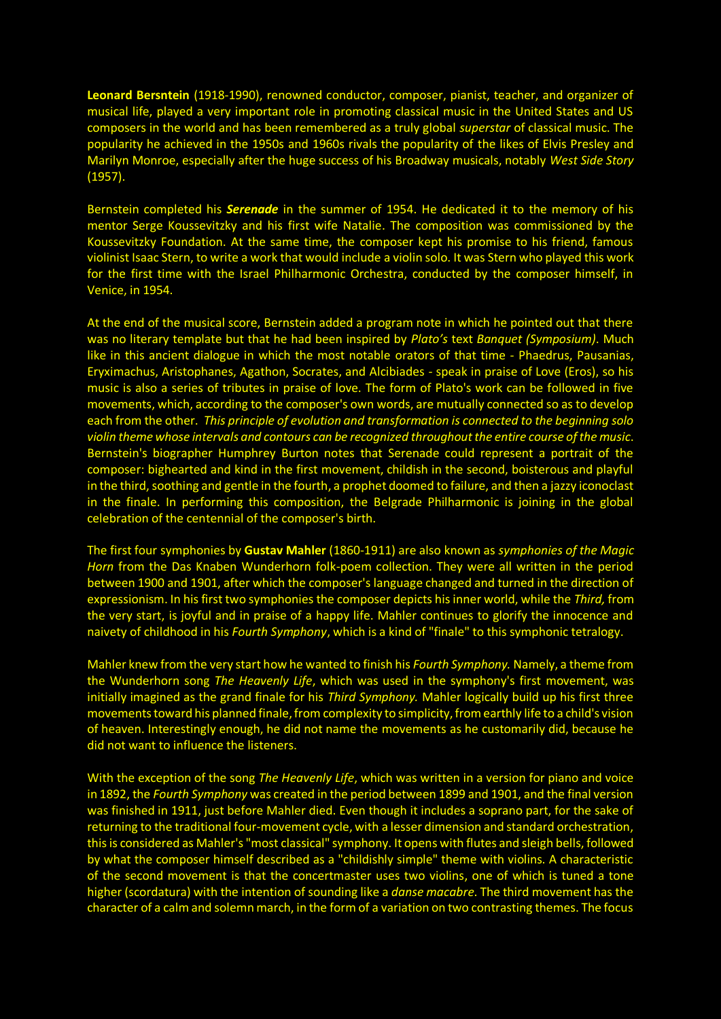**Leonard Bersntein** (1918-1990), renowned conductor, composer, pianist, teacher, and organizer of musical life, played a very important role in promoting classical music in the United States and US composers in the world and has been remembered as a truly global *superstar* of classical music. The popularity he achieved in the 1950s and 1960s rivals the popularity of the likes of Elvis Presley and Marilyn Monroe, especially after the huge success of his Broadway musicals, notably *West Side Story* (1957).

Bernstein completed his *Serenade* in the summer of 1954. He dedicated it to the memory of his mentor Serge Koussevitzky and his first wife Natalie. The composition was commissioned by the Koussevitzky Foundation. At the same time, the composer kept his promise to his friend, famous violinist Isaac Stern, to write a work that would include a violin solo. It was Stern who played this work for the first time with the Israel Philharmonic Orchestra, conducted by the composer himself, in Venice, in 1954.

At the end of the musical score, Bernstein added a program note in which he pointed out that there was no literary template but that he had been inspired by *Plato's* text *Banquet (Symposium)*. Much like in this ancient dialogue in which the most notable orators of that time - Phaedrus, Pausanias, Eryximachus, Aristophanes, Agathon, Socrates, and Alcibiades - speak in praise of Love (Eros), so his music is also a series of tributes in praise of love. The form of Plato's work can be followed in five movements, which, according to the composer's own words, are mutually connected so as to develop each from the other. *This principle of evolution and transformation is connected to the beginning solo violin theme whose intervals and contours can be recognized throughout the entire course of the music*. Bernstein's biographer Humphrey Burton notes that Serenade could represent a portrait of the composer: bighearted and kind in the first movement, childish in the second, boisterous and playful in the third, soothing and gentle in the fourth, a prophet doomed to failure, and then a jazzy iconoclast in the finale. In performing this composition, the Belgrade Philharmonic is joining in the global celebration of the centennial of the composer's birth.

The first four symphonies by **Gustav Mahler** (1860-1911) are also known as *symphonies of the Magic Horn* from the Das Knaben Wunderhorn folk-poem collection. They were all written in the period between 1900 and 1901, after which the composer's language changed and turned in the direction of expressionism. In his first two symphonies the composer depicts his inner world, while the *Third,* from the very start, is joyful and in praise of a happy life. Mahler continues to glorify the innocence and naivety of childhood in his *Fourth Symphony*, which is a kind of "finale" to this symphonic tetralogy.

Mahler knew from the very start how he wanted to finish his *Fourth Symphony.* Namely, a theme from the Wunderhorn song *The Heavenly Life*, which was used in the symphony's first movement, was initially imagined as the grand finale for his *Third Symphony.* Mahler logically build up his first three movements toward his planned finale, from complexity to simplicity, from earthly life to a child's vision of heaven. Interestingly enough, he did not name the movements as he customarily did, because he did not want to influence the listeners.

With the exception of the song *The Heavenly Life*, which was written in a version for piano and voice in 1892, the *Fourth Symphony* was created in the period between 1899 and 1901, and the final version was finished in 1911, just before Mahler died. Even though it includes a soprano part, for the sake of returning to the traditional four-movement cycle, with a lesser dimension and standard orchestration, this is considered as Mahler's "most classical" symphony. It opens with flutes and sleigh bells, followed by what the composer himself described as a "childishly simple" theme with violins. A characteristic of the second movement is that the concertmaster uses two violins, one of which is tuned a tone higher (scordatura) with the intention of sounding like a *danse macabre*. The third movement has the character of a calm and solemn march, in the form of a variation on two contrasting themes. The focus